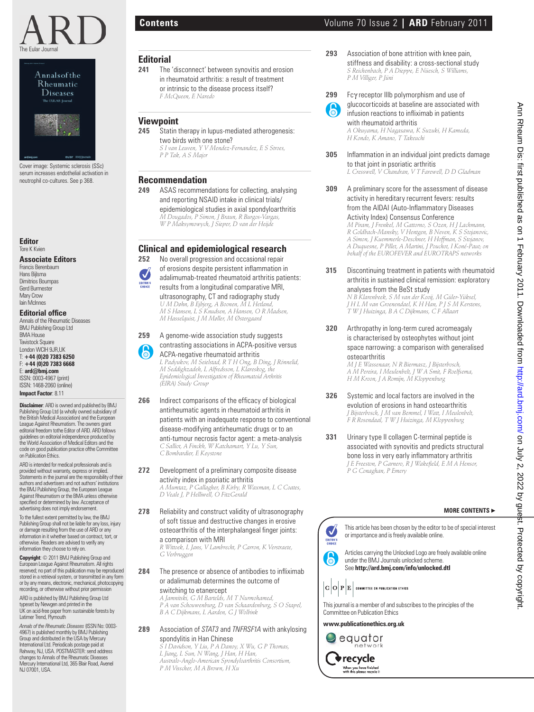



Cover image: Systemic sclerosis (SSc) serum increases endothelial activation in neutrophil co-cultures. See p 368.

**Editor** Tore K Kvien

#### **Associate Editors**

Francis Berenbaum Hans Bijlsma Dimitrios Boumpas Gerd Burmester Mary Crow Iain McInnes

# **Editorial office**

Annals of the Rheumatic Diseases BMJ Publishing Group Ltd BMA House **Tavistock Square** London WCIH 9JR,UK T: **+44 (0)20 7383 6250** F: **+44 (0)20 7383 6668** E: **ard@bmj.com** ISSN: 0003-4967 (print) ISSN: 1468-2060 (online)

**Impact Factor**: 8.11 **Disclaimer**: ARD is owned and published by BMJ

Publishing Group Ltd (a wholly owned subsidiary of the British Medical Association) and the European League Against Rheumatism. The owners grant editorial freedom tothe Editor of ARD. ARD follows guidelines on editorial independence produced by the World Association of Medical Editors and the code on good publication practice ofthe Committee on Publication Ethics.

ARD is intended for medical professionals and is provided without warranty, express or implied. Statements in the journal are the responsibility of their authors and advertisers and not authors' institutions the BMJ Publishing Group, the European League Against Rheumatism or the BMA unless otherwise specified or determined by law. Acceptance of advertising does not imply endorsement.

To the fullest extent permitted by law, the BMJ Publishing Group shall not be liable for any loss, injury or damage resulting from the use of ARD or any information in it whether based on contract, tort, or otherwise. Readers are advised to verify any information they choose to rely on.

**Copyright**: © 2011 BMJ Publishing Group and European League Against Rheumatism. All rights reserved; no part of this publication may be reproduced stored in a retrieval system, or transmitted in any form or by any means, electronic, mechanical, photocopying recording, or otherwise without prior permission

ARD is published by BMJ Publishing Group Ltd typeset by Newgen and printed in the UK on acid-free paper from sustainable forests by Latimer Trend, Plymouth

*Annals of the Rheumatic Diseases* (ISSN No: 0003- 4967) is published monthly by BMJ Publishing Group and distributed in the USA by Mercury International Ltd. Periodicals postage paid at Rahway, NJ, USA. POSTMASTER: send address changes to Annals of the Rheumatic Diseases Mercury International Ltd, 365 Blair Road, Avenel NJ 07001, USA.

### **Editorial**

**241** The 'disconnect' between synovitis and erosion in rheumatoid arthritis: a result of treatment or intrinsic to the disease process itself?  *F McQueen, E Naredo*

# **Viewpoint**<br>245 Statin t

Statin therapy in lupus-mediated atherogenesis: two birds with one stone?  *S I van Leuven, Y V Mendez-Fernandez, E S Stroes, P P Tak, A S Major*

# **Recommendation**<br>249 ASAS recommen

**249** ASAS recommendations for collecting, analysing and reporting NSAID intake in clinical trials/ epidemiological studies in axial spondyloarthritis  *M Dougados, P Simon, J Braun, R Burgos-Vargas, W P Maksymowych, J Sieper, D van der Heijde*

# **Clinical and epidemiological research**

- **252** No overall progression and occasional repair of erosions despite persistent inflammation in adalimumab-treated rheumatoid arthritis patients:
	- results from a longitudinal comparative MRI, ultrasonography, CT and radiography study

 *U M Døhn, B Ejbjerg, A Boonen, M L Hetland, M S Hansen, L S Knudsen, A Hansen, O R Madsen, M Hasselquist, J M Møller, M Østergaard*

**259** A genome-wide association study suggests contrasting associations in ACPA-positive versus ACPA-negative rheumatoid arthritis

 *L Padyukov, M Seielstad, R T H Ong, B Ding, J Rönnelid, M Seddighzadeh, L Alfredsson, L Klareskog, the Epidemiological Investigation of Rheumatoid Arthritis (EIRA) Study Group*

- **266** Indirect comparisons of the efficacy of biological antirheumatic agents in rheumatoid arthritis in patients with an inadequate response to conventional disease-modifying antirheumatic drugs or to an anti-tumour necrosis factor agent: a meta-analysis  *C Salliot, A Finckh, W Katchamart, Y Lu, Y Sun, C Bombardier, E Keystone* **Focal deterministics and the extent of the extent of the extent of the extent of the extent of the extent of the extent of the extent of the extent of the extent of the extent of the extent of the extent of the extent of** 
	- **272** Development of a preliminary composite disease activity index in psoriatic arthritis  *A Mumtaz, P Gallagher, B Kirby, R Waxman, L C Coates, D Veale J, P Helliwell, O FitzGerald*
	- 278 Reliability and construct validity of ultrasonography of soft tissue and destructive changes in erosive osteoarthritis of the interphalangeal finger joints: a comparison with MRI

 *R Wittoek, L Jans, V Lambrecht, P Carron, K Verstraete, G Verbruggen*

**284** The presence or absence of antibodies to infliximab or adalimumab determines the outcome of switching to etanercept

 *A Jamnitski, G M Bartelds, M T Nurmohamed, P A van Schouwenburg, D van Schaardenburg, S O Stapel, B A C Dijkmans, L Aarden, G J Wolbink*

**289** Association of *STAT3* and *TNFRSF1A* with ankylosing spondylitis in Han Chinese  *S I Davidson, Y Liu, P A Danoy, X Wu, G P Thomas,* 

*L Jiang, L Sun, N Wang, J Han, H Han, Australo-Anglo-American Spondyloarthritis Consortium, P M Visscher, M A Brown, H Xu*

# **Contents** Volume 70 Issue 2 **| ARD** February 2011

**293** Association of bone attrition with knee pain, stiffness and disability: a cross-sectional study  *S Reichenbach, P A Dieppe, E Nüesch, S Williams, P M Villiger, P Jüni*



**299** Fcγ receptor IIIb polymorphism and use of glucocorticoids at baseline are associated with infusion reactions to infliximab in patients with rheumatoid arthritis

 *A Okuyama, H Nagasawa, K Suzuki, H Kameda, H Kondo, K Amano, T Takeuchi*

- **305** Inflammation in an individual joint predicts damage to that joint in psoriatic arthritis  *L Cresswell, V Chandran, V T Farewell, D D Gladman*
- **309** A preliminary score for the assessment of disease activity in hereditary recurrent fevers: results from the AIDAI (Auto-Inflammatory Diseases Activity Index) Consensus Conference  *M Piram, J Frenkel, M Gattorno, S Ozen, H J Lachmann,*

*R Goldbach-Mansky, V Hentgen, B Neven, K S Stojanovic, A Simon, J Kuemmerle-Deschner, H Hoffman, S Stojanov, A Duquesne, P Pillet, A Martini, J Pouchot, I Koné-Paut; on behalf of the EUROFEVER and EUROTRAPS networks*

**315** Discontinuing treatment in patients with rheumatoid arthritis in sustained clinical remission: exploratory analyses from the BeSt study

 *N B Klarenbeek, S M van der Kooij, M Güler-Yüksel, J H L M van Groenendael, K H Han, P J S M Kerstens, T W J Huizinga, B A C Dijkmans, C F Allaart*

**320** Arthropathy in long-term cured acromeagaly is characterised by osteophytes without joint space narrowing: a comparison with generalised osteoarthritis

 *M J E Wassenaar, N R Biermasz, J Bijsterbosch, A M Pereira, I Meulenbelt, J W A Smit, F Roelfsema, H M Kroon, J A Romijn, M Kloppenburg*

- **326** Systemic and local factors are involved in the evolution of erosions in hand osteoarthritis  *J Bijsterbosch, J M van Bemmel, I Watt, I Meulenbelt, F R Rosendaal, T W J Huizinga, M Kloppenburg*
- **331** Urinary type II collagen C-terminal peptide is associated with synovitis and predicts structural bone loss in very early inflammatory arthritis  *J E Freeston, P Garnero, R J Wakefi eld, E M A Hensor, P G Conaghan, P Emery*

## **MORE CONTENTS** ▶

This article has been chosen by the editor to be of special interest or importance and is freely available online.

Articles carrying the Unlocked Logo are freely available online under the BMJ Journals unlocked scheme. See **http://ard.bmj.com/info/unlocked.dtl**



This journal is a member of and subscribes to the principles of the Committee on Publication Ethics

**www.publicationethics.org.uk**